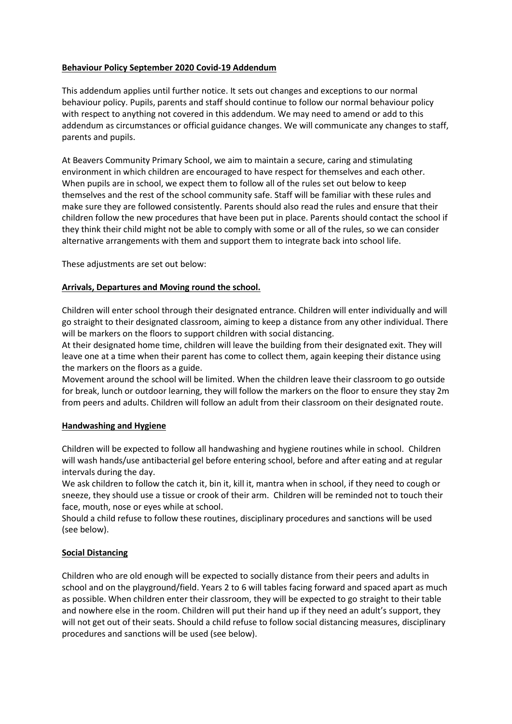### **Behaviour Policy September 2020 Covid-19 Addendum**

This addendum applies until further notice. It sets out changes and exceptions to our normal behaviour policy. Pupils, parents and staff should continue to follow our normal behaviour policy with respect to anything not covered in this addendum. We may need to amend or add to this addendum as circumstances or official guidance changes. We will communicate any changes to staff, parents and pupils.

At Beavers Community Primary School, we aim to maintain a secure, caring and stimulating environment in which children are encouraged to have respect for themselves and each other. When pupils are in school, we expect them to follow all of the rules set out below to keep themselves and the rest of the school community safe. Staff will be familiar with these rules and make sure they are followed consistently. Parents should also read the rules and ensure that their children follow the new procedures that have been put in place. Parents should contact the school if they think their child might not be able to comply with some or all of the rules, so we can consider alternative arrangements with them and support them to integrate back into school life.

These adjustments are set out below:

### **Arrivals, Departures and Moving round the school.**

Children will enter school through their designated entrance. Children will enter individually and will go straight to their designated classroom, aiming to keep a distance from any other individual. There will be markers on the floors to support children with social distancing.

At their designated home time, children will leave the building from their designated exit. They will leave one at a time when their parent has come to collect them, again keeping their distance using the markers on the floors as a guide.

Movement around the school will be limited. When the children leave their classroom to go outside for break, lunch or outdoor learning, they will follow the markers on the floor to ensure they stay 2m from peers and adults. Children will follow an adult from their classroom on their designated route.

#### **Handwashing and Hygiene**

Children will be expected to follow all handwashing and hygiene routines while in school. Children will wash hands/use antibacterial gel before entering school, before and after eating and at regular intervals during the day.

We ask children to follow the catch it, bin it, kill it, mantra when in school, if they need to cough or sneeze, they should use a tissue or crook of their arm. Children will be reminded not to touch their face, mouth, nose or eyes while at school.

Should a child refuse to follow these routines, disciplinary procedures and sanctions will be used (see below).

## **Social Distancing**

Children who are old enough will be expected to socially distance from their peers and adults in school and on the playground/field. Years 2 to 6 will tables facing forward and spaced apart as much as possible. When children enter their classroom, they will be expected to go straight to their table and nowhere else in the room. Children will put their hand up if they need an adult's support, they will not get out of their seats. Should a child refuse to follow social distancing measures, disciplinary procedures and sanctions will be used (see below).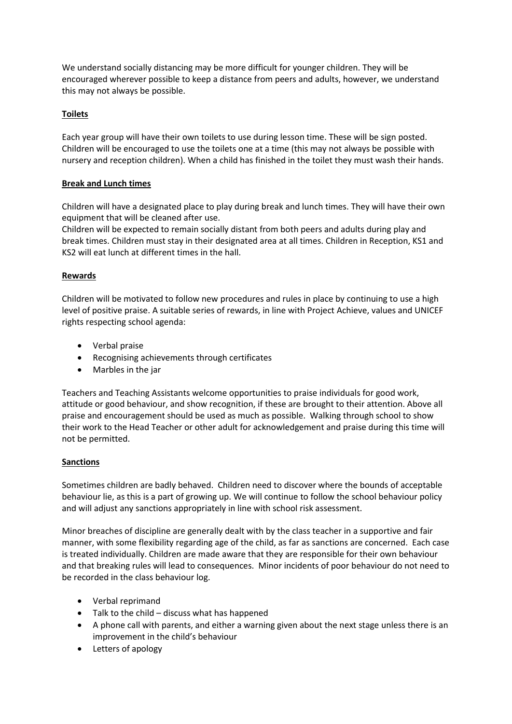We understand socially distancing may be more difficult for younger children. They will be encouraged wherever possible to keep a distance from peers and adults, however, we understand this may not always be possible.

## **Toilets**

Each year group will have their own toilets to use during lesson time. These will be sign posted. Children will be encouraged to use the toilets one at a time (this may not always be possible with nursery and reception children). When a child has finished in the toilet they must wash their hands.

# **Break and Lunch times**

Children will have a designated place to play during break and lunch times. They will have their own equipment that will be cleaned after use.

Children will be expected to remain socially distant from both peers and adults during play and break times. Children must stay in their designated area at all times. Children in Reception, KS1 and KS2 will eat lunch at different times in the hall.

## **Rewards**

Children will be motivated to follow new procedures and rules in place by continuing to use a high level of positive praise. A suitable series of rewards, in line with Project Achieve, values and UNICEF rights respecting school agenda:

- Verbal praise
- Recognising achievements through certificates
- Marbles in the jar

Teachers and Teaching Assistants welcome opportunities to praise individuals for good work, attitude or good behaviour, and show recognition, if these are brought to their attention. Above all praise and encouragement should be used as much as possible. Walking through school to show their work to the Head Teacher or other adult for acknowledgement and praise during this time will not be permitted.

## **Sanctions**

Sometimes children are badly behaved. Children need to discover where the bounds of acceptable behaviour lie, as this is a part of growing up. We will continue to follow the school behaviour policy and will adjust any sanctions appropriately in line with school risk assessment.

Minor breaches of discipline are generally dealt with by the class teacher in a supportive and fair manner, with some flexibility regarding age of the child, as far as sanctions are concerned. Each case is treated individually. Children are made aware that they are responsible for their own behaviour and that breaking rules will lead to consequences. Minor incidents of poor behaviour do not need to be recorded in the class behaviour log.

- Verbal reprimand
- Talk to the child discuss what has happened
- A phone call with parents, and either a warning given about the next stage unless there is an improvement in the child's behaviour
- Letters of apology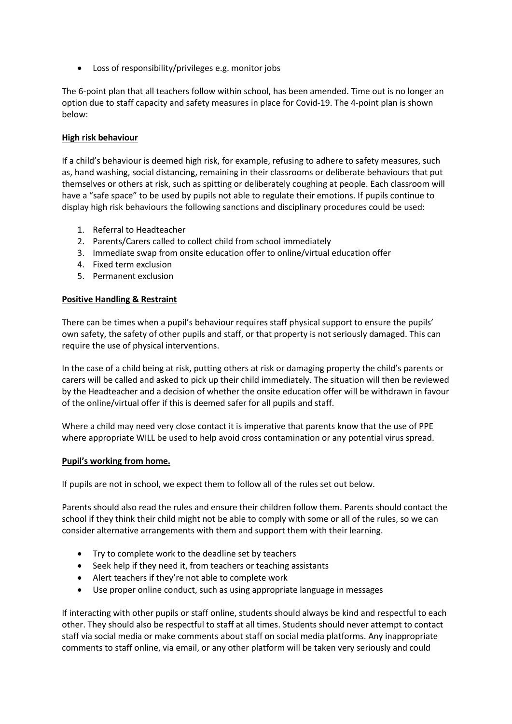Loss of responsibility/privileges e.g. monitor jobs

The 6-point plan that all teachers follow within school, has been amended. Time out is no longer an option due to staff capacity and safety measures in place for Covid-19. The 4-point plan is shown below:

#### **High risk behaviour**

If a child's behaviour is deemed high risk, for example, refusing to adhere to safety measures, such as, hand washing, social distancing, remaining in their classrooms or deliberate behaviours that put themselves or others at risk, such as spitting or deliberately coughing at people. Each classroom will have a "safe space" to be used by pupils not able to regulate their emotions. If pupils continue to display high risk behaviours the following sanctions and disciplinary procedures could be used:

- 1. Referral to Headteacher
- 2. Parents/Carers called to collect child from school immediately
- 3. Immediate swap from onsite education offer to online/virtual education offer
- 4. Fixed term exclusion
- 5. Permanent exclusion

#### **Positive Handling & Restraint**

There can be times when a pupil's behaviour requires staff physical support to ensure the pupils' own safety, the safety of other pupils and staff, or that property is not seriously damaged. This can require the use of physical interventions.

In the case of a child being at risk, putting others at risk or damaging property the child's parents or carers will be called and asked to pick up their child immediately. The situation will then be reviewed by the Headteacher and a decision of whether the onsite education offer will be withdrawn in favour of the online/virtual offer if this is deemed safer for all pupils and staff.

Where a child may need very close contact it is imperative that parents know that the use of PPE where appropriate WILL be used to help avoid cross contamination or any potential virus spread.

#### **Pupil's working from home.**

If pupils are not in school, we expect them to follow all of the rules set out below.

Parents should also read the rules and ensure their children follow them. Parents should contact the school if they think their child might not be able to comply with some or all of the rules, so we can consider alternative arrangements with them and support them with their learning.

- Try to complete work to the deadline set by teachers
- Seek help if they need it, from teachers or teaching assistants
- Alert teachers if they're not able to complete work
- Use proper online conduct, such as using appropriate language in messages

If interacting with other pupils or staff online, students should always be kind and respectful to each other. They should also be respectful to staff at all times. Students should never attempt to contact staff via social media or make comments about staff on social media platforms. Any inappropriate comments to staff online, via email, or any other platform will be taken very seriously and could